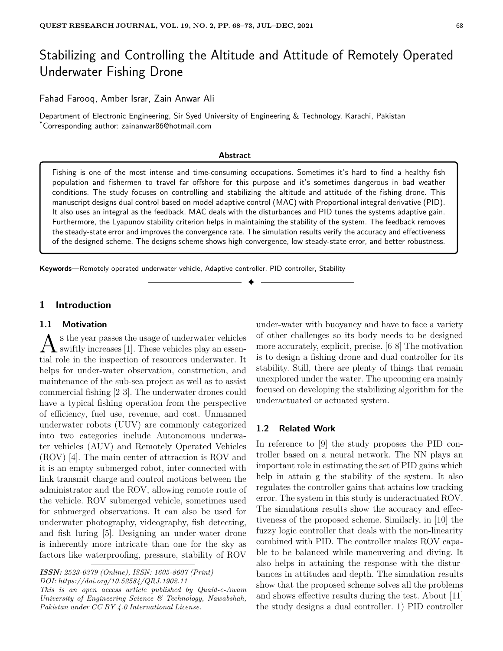# Stabilizing and Controlling the Altitude and Attitude of Remotely Operated Underwater Fishing Drone

Fahad Farooq, Amber Israr, Zain Anwar Ali

Department of Electronic Engineering, Sir Syed University of Engineering & Technology, Karachi, Pakistan \*Corresponding author: zainanwar86@hotmail.com

#### **Abstract**

Fishing is one of the most intense and time-consuming occupations. Sometimes it's hard to find a healthy fish population and fishermen to travel far offshore for this purpose and it's sometimes dangerous in bad weather conditions. The study focuses on controlling and stabilizing the altitude and attitude of the fishing drone. This manuscript designs dual control based on model adaptive control (MAC) with Proportional integral derivative (PID). It also uses an integral as the feedback. MAC deals with the disturbances and PID tunes the systems adaptive gain. Furthermore, the Lyapunov stability criterion helps in maintaining the stability of the system. The feedback removes the steady-state error and improves the convergence rate. The simulation results verify the accuracy and effectiveness of the designed scheme. The designs scheme shows high convergence, low steady-state error, and better robustness.

✦

**Keywords**—Remotely operated underwater vehicle, Adaptive controller, PID controller, Stability

#### **1 Introduction**

#### **1.1 Motivation**

 $\mathbf{A}$  s the year passes the usage of underwater vehicles splay and sessens the year passes the usage of underwater vehicles tial role in the inspection of resources underwater. It helps for under-water observation, construction, and maintenance of the sub-sea project as well as to assist commercial fishing [2-3]. The underwater drones could have a typical fishing operation from the perspective of efficiency, fuel use, revenue, and cost. Unmanned underwater robots (UUV) are commonly categorized into two categories include Autonomous underwater vehicles (AUV) and Remotely Operated Vehicles (ROV) [4]. The main center of attraction is ROV and it is an empty submerged robot, inter-connected with link transmit charge and control motions between the administrator and the ROV, allowing remote route of the vehicle. ROV submerged vehicle, sometimes used for submerged observations. It can also be used for underwater photography, videography, fish detecting, and fish luring [5]. Designing an under-water drone is inherently more intricate than one for the sky as factors like waterproofing, pressure, stability of ROV

*ISSN: 2523-0379 (Online), ISSN: 1605-8607 (Print) DOI: https://doi.org/10.52584/QRJ.1902.11*

*This is an open access article published by Quaid-e-Awam University of Engineering Science & Technology, Nawabshah, Pakistan under CC BY 4.0 International License.*

under-water with buoyancy and have to face a variety of other challenges so its body needs to be designed more accurately, explicit, precise. [6-8] The motivation is to design a fishing drone and dual controller for its stability. Still, there are plenty of things that remain unexplored under the water. The upcoming era mainly focused on developing the stabilizing algorithm for the underactuated or actuated system.

### **1.2 Related Work**

In reference to [9] the study proposes the PID controller based on a neural network. The NN plays an important role in estimating the set of PID gains which help in attain g the stability of the system. It also regulates the controller gains that attains low tracking error. The system in this study is underactuated ROV. The simulations results show the accuracy and effectiveness of the proposed scheme. Similarly, in [10] the fuzzy logic controller that deals with the non-linearity combined with PID. The controller makes ROV capable to be balanced while maneuvering and diving. It also helps in attaining the response with the disturbances in attitudes and depth. The simulation results show that the proposed scheme solves all the problems and shows effective results during the test. About [11] the study designs a dual controller. 1) PID controller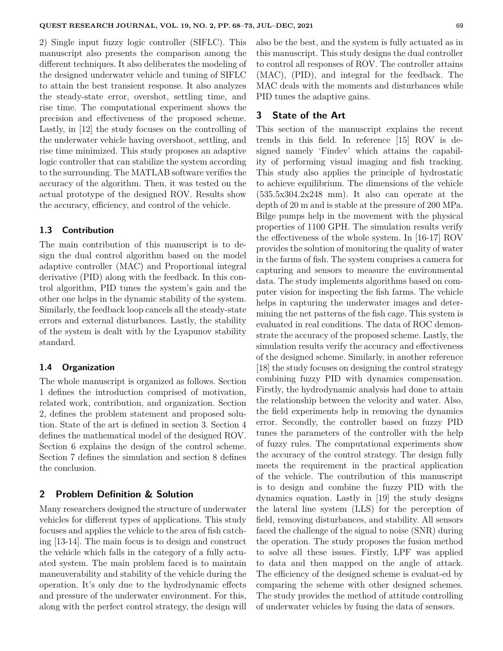2) Single input fuzzy logic controller (SIFLC). This manuscript also presents the comparison among the different techniques. It also deliberates the modeling of the designed underwater vehicle and tuning of SIFLC to attain the best transient response. It also analyzes the steady-state error, overshot, settling time, and rise time. The computational experiment shows the precision and effectiveness of the proposed scheme. Lastly, in [12] the study focuses on the controlling of the underwater vehicle having overshoot, settling, and rise time minimized. This study proposes an adaptive logic controller that can stabilize the system according to the surrounding. The MATLAB software verifies the accuracy of the algorithm. Then, it was tested on the actual prototype of the designed ROV. Results show the accuracy, efficiency, and control of the vehicle.

## **1.3 Contribution**

The main contribution of this manuscript is to design the dual control algorithm based on the model adaptive controller (MAC) and Proportional integral derivative (PID) along with the feedback. In this control algorithm, PID tunes the system's gain and the other one helps in the dynamic stability of the system. Similarly, the feedback loop cancels all the steady-state errors and external disturbances. Lastly, the stability of the system is dealt with by the Lyapunov stability standard.

#### **1.4 Organization**

The whole manuscript is organized as follows. Section 1 defines the introduction comprised of motivation, related work, contribution, and organization. Section 2, defines the problem statement and proposed solution. State of the art is defined in section 3. Section 4 defines the mathematical model of the designed ROV. Section 6 explains the design of the control scheme. Section 7 defines the simulation and section 8 defines the conclusion.

#### **2 Problem Definition & Solution**

Many researchers designed the structure of underwater vehicles for different types of applications. This study focuses and applies the vehicle to the area of fish catching [13-14]. The main focus is to design and construct the vehicle which falls in the category of a fully actuated system. The main problem faced is to maintain maneuverability and stability of the vehicle during the operation. It's only due to the hydrodynamic effects and pressure of the underwater environment. For this, along with the perfect control strategy, the design will also be the best, and the system is fully actuated as in this manuscript. This study designs the dual controller to control all responses of ROV. The controller attains (MAC), (PID), and integral for the feedback. The MAC deals with the moments and disturbances while PID tunes the adaptive gains.

# **3 State of the Art**

This section of the manuscript explains the recent trends in this field. In reference [15] ROV is designed namely 'Findev' which attains the capability of performing visual imaging and fish tracking. This study also applies the principle of hydrostatic to achieve equilibrium. The dimensions of the vehicle  $(535.5x304.2x248$  mm). It also can operate at the depth of 20 m and is stable at the pressure of 200 MPa. Bilge pumps help in the movement with the physical properties of 1100 GPH. The simulation results verify the effectiveness of the whole system. In [16-17] ROV provides the solution of monitoring the quality of water in the farms of fish. The system comprises a camera for capturing and sensors to measure the environmental data. The study implements algorithms based on computer vision for inspecting the fish farms. The vehicle helps in capturing the underwater images and determining the net patterns of the fish cage. This system is evaluated in real conditions. The data of ROC demonstrate the accuracy of the proposed scheme. Lastly, the simulation results verify the accuracy and effectiveness of the designed scheme. Similarly, in another reference [18] the study focuses on designing the control strategy combining fuzzy PID with dynamics compensation. Firstly, the hydrodynamic analysis had done to attain the relationship between the velocity and water. Also, the field experiments help in removing the dynamics error. Secondly, the controller based on fuzzy PID tunes the parameters of the controller with the help of fuzzy rules. The computational experiments show the accuracy of the control strategy. The design fully meets the requirement in the practical application of the vehicle. The contribution of this manuscript is to design and combine the fuzzy PID with the dynamics equation. Lastly in [19] the study designs the lateral line system (LLS) for the perception of field, removing disturbances, and stability. All sensors faced the challenge of the signal to noise (SNR) during the operation. The study proposes the fusion method to solve all these issues. Firstly, LPF was applied to data and then mapped on the angle of attack. The efficiency of the designed scheme is evaluat-ed by comparing the scheme with other designed schemes. The study provides the method of attitude controlling of underwater vehicles by fusing the data of sensors.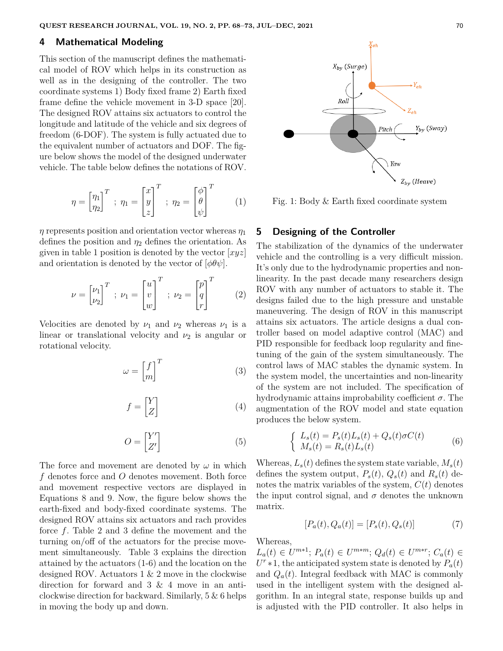#### **4 Mathematical Modeling**

This section of the manuscript defines the mathematical model of ROV which helps in its construction as well as in the designing of the controller. The two coordinate systems 1) Body fixed frame 2) Earth fixed frame define the vehicle movement in 3-D space [20]. The designed ROV attains six actuators to control the longitude and latitude of the vehicle and six degrees of freedom (6-DOF). The system is fully actuated due to the equivalent number of actuators and DOF. The figure below shows the model of the designed underwater vehicle. The table below defines the notations of ROV.

$$
\eta = \begin{bmatrix} \eta_1 \\ \eta_2 \end{bmatrix}^T ; \ \eta_1 = \begin{bmatrix} x \\ y \\ z \end{bmatrix}^T ; \ \eta_2 = \begin{bmatrix} \phi \\ \theta \\ \psi \end{bmatrix}^T \qquad (1)
$$

*η* represents position and orientation vector whereas *η*<sup>1</sup> defines the position and  $\eta_2$  defines the orientation. As given in table 1 position is denoted by the vector [*xyz*] and orientation is denoted by the vector of  $[\phi \theta \psi]$ .

$$
\nu = \begin{bmatrix} \nu_1 \\ \nu_2 \end{bmatrix}^T; \ \nu_1 = \begin{bmatrix} u \\ v \\ w \end{bmatrix}^T; \ \nu_2 = \begin{bmatrix} p \\ q \\ r \end{bmatrix}^T \tag{2}
$$

Velocities are denoted by  $\nu_1$  and  $\nu_2$  whereas  $\nu_1$  is a linear or translational velocity and  $\nu_2$  is angular or rotational velocity.

$$
\omega = \begin{bmatrix} f \\ m \end{bmatrix}^T \tag{3}
$$

$$
f = \begin{bmatrix} Y \\ Z \end{bmatrix} \tag{4}
$$

$$
O = \begin{bmatrix} Y' \\ Z' \end{bmatrix} \tag{5}
$$

The force and movement are denoted by  $\omega$  in which *f* denotes force and *O* denotes movement. Both force and movement respective vectors are displayed in Equations 8 and 9. Now, the figure below shows the earth-fixed and body-fixed coordinate systems. The designed ROV attains six actuators and rach provides force *f*. Table 2 and 3 define the movement and the turning on/off of the actuators for the precise movement simultaneously. Table 3 explains the direction attained by the actuators (1-6) and the location on the designed ROV. Actuators 1 & 2 move in the clockwise direction for forward and 3 & 4 move in an anticlockwise direction for backward. Similarly, 5 & 6 helps in moving the body up and down.



Fig. 1: Body & Earth fixed coordinate system

### **5 Designing of the Controller**

The stabilization of the dynamics of the underwater vehicle and the controlling is a very difficult mission. It's only due to the hydrodynamic properties and nonlinearity. In the past decade many researchers design ROV with any number of actuators to stable it. The designs failed due to the high pressure and unstable maneuvering. The design of ROV in this manuscript attains six actuators. The article designs a dual controller based on model adaptive control (MAC) and PID responsible for feedback loop regularity and finetuning of the gain of the system simultaneously. The control laws of MAC stables the dynamic system. In the system model, the uncertainties and non-linearity of the system are not included. The specification of hydrodynamic attains improbability coefficient *σ*. The augmentation of the ROV model and state equation produces the below system.

$$
\begin{cases}\nL_s(t) = P_s(t)L_s(t) + Q_s(t)\sigma C(t) \\
M_s(t) = R_s(t)L_s(t)\n\end{cases} \tag{6}
$$

Whereas,  $L_s(t)$  defines the system state variable,  $M_s(t)$ defines the system output,  $P_s(t)$ ,  $Q_s(t)$  and  $R_s(t)$  denotes the matrix variables of the system,  $C(t)$  denotes the input control signal, and  $\sigma$  denotes the unknown matrix.

$$
[P_a(t), Q_a(t)] = [P_s(t), Q_s(t)]
$$
 (7)

Whereas,

 $L_a(t) \in U^{m*1}$ ;  $P_a(t) \in U^{m*m}$ ;  $Q_d(t) \in U^{m*r}$ ;  $C_a(t) \in$  $U^r * 1$ , the anticipated system state is denoted by  $P_a(t)$ and  $Q_a(t)$ . Integral feedback with MAC is commonly used in the intelligent system with the designed algorithm. In an integral state, response builds up and is adjusted with the PID controller. It also helps in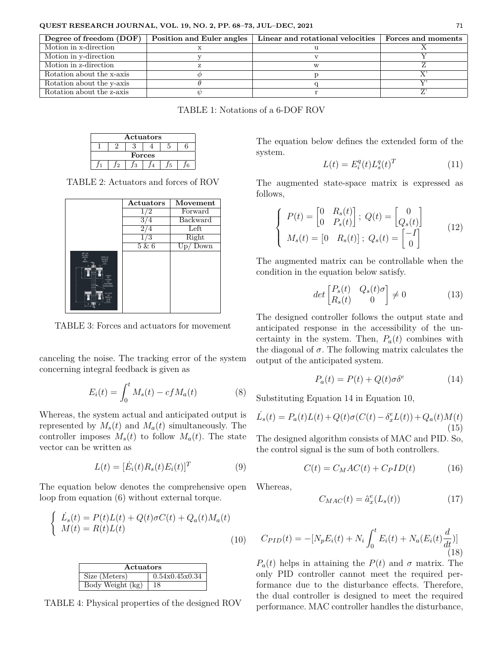| Degree of freedom (DOF)   | Position and Euler angles | Linear and rotational velocities | Forces and moments |
|---------------------------|---------------------------|----------------------------------|--------------------|
| Motion in x-direction     |                           |                                  |                    |
| Motion in y-direction     |                           |                                  |                    |
| Motion in z-direction     |                           |                                  |                    |
| Rotation about the x-axis |                           |                                  |                    |
| Rotation about the y-axis |                           |                                  |                    |
| Rotation about the z-axis |                           |                                  |                    |

TABLE 1: Notations of a 6-DOF ROV

| Actuators |  |  |  |  |  |  |
|-----------|--|--|--|--|--|--|
|           |  |  |  |  |  |  |
| Forces    |  |  |  |  |  |  |
|           |  |  |  |  |  |  |

TABLE 2: Actuators and forces of ROV

|                                                                                                                                                                                                                                                                                      | Actuators | Movement   |
|--------------------------------------------------------------------------------------------------------------------------------------------------------------------------------------------------------------------------------------------------------------------------------------|-----------|------------|
|                                                                                                                                                                                                                                                                                      | 1/2       | Forward    |
|                                                                                                                                                                                                                                                                                      |           | Backward   |
|                                                                                                                                                                                                                                                                                      |           | Left       |
|                                                                                                                                                                                                                                                                                      |           | Right      |
|                                                                                                                                                                                                                                                                                      | 5 & 6     | $Up/$ Down |
| 0.0931389<br>TAX FINDST<br><b>NO BATE</b><br>理び外耳器<br>ron.<br><b>BOTASS</b><br><b>SNETC</b><br>AND TWO<br>um<br>DOUSC<br><b>PR</b><br><b>CRIMEER</b><br><b>SCR</b><br><b>RECEIVABLE</b><br><b>ATTAINING ASSES</b><br><b>FACICIUDAS</b><br><b>PR</b><br>030117<br><b>ELED</b><br>E.M. |           |            |

TABLE 3: Forces and actuators for movement

canceling the noise. The tracking error of the system concerning integral feedback is given as

$$
E_i(t) = \int_0^t M_s(t) - c f M_a(t)
$$
 (8)

Whereas, the system actual and anticipated output is represented by  $M_s(t)$  and  $M_a(t)$  simultaneously. The controller imposes  $M_s(t)$  to follow  $M_a(t)$ . The state vector can be written as

$$
L(t) = [\dot{E}_i(t)R_s(t)E_i(t)]^T
$$
\n(9)

The equation below denotes the comprehensive open loop from equation (6) without external torque.

$$
\begin{cases}\n\dot{L}_s(t) = P(t)L(t) + Q(t)\sigma C(t) + Q_a(t)M_a(t) \\
M(t) = R(t)L(t)\n\end{cases}
$$
\n(10)

| Actuators                            |                |  |  |  |
|--------------------------------------|----------------|--|--|--|
| Size (Meters)                        | 0.54x0.45x0.34 |  |  |  |
| $\overline{\text{Body Weight}}$ (kg) | 18             |  |  |  |

TABLE 4: Physical properties of the designed ROV

The equation below defines the extended form of the system.

$$
L(t) = E_i^q(t)L_s^q(t)^T \tag{11}
$$

The augmented state-space matrix is expressed as follows,

$$
\begin{cases}\nP(t) = \begin{bmatrix} 0 & R_s(t) \\ 0 & P_s(t) \end{bmatrix};\ Q(t) = \begin{bmatrix} 0 \\ Q_s(t) \end{bmatrix} \\
M_s(t) = \begin{bmatrix} 0 & R_s(t) \end{bmatrix};\ Q_s(t) = \begin{bmatrix} -I \\ 0 \end{bmatrix}\n\end{cases}
$$
\n(12)

The augmented matrix can be controllable when the condition in the equation below satisfy.

$$
det \begin{bmatrix} P_s(t) & Q_s(t)\sigma \\ R_s(t) & 0 \end{bmatrix} \neq 0 \tag{13}
$$

The designed controller follows the output state and anticipated response in the accessibility of the uncertainty in the system. Then,  $P_a(t)$  combines with the diagonal of  $\sigma$ . The following matrix calculates the output of the anticipated system.

$$
P_a(t) = P(t) + Q(t)\sigma \delta^e \tag{14}
$$

Substituting Equation 14 in Equation 10,

$$
\dot{L}_s(t) = P_a(t)L(t) + Q(t)\sigma(C(t) - \delta_x^e L(t)) + Q_a(t)M(t)
$$
\n(15)

The designed algorithm consists of MAC and PID. So, the control signal is the sum of both controllers.

$$
C(t) = C_M A C(t) + C_P I D(t)
$$
 (16)

Whereas,

$$
C_{MAC}(t) = \hat{a}_x^e(L_s(t))
$$
\n(17)

$$
C_{PID}(t) = -[N_p E_i(t) + N_i \int_0^t E_i(t) + N_a(E_i(t) \frac{d}{dt})]
$$
\n(18)

 $P_a(t)$  helps in attaining the  $P(t)$  and  $\sigma$  matrix. The only PID controller cannot meet the required performance due to the disturbance effects. Therefore, the dual controller is designed to meet the required performance. MAC controller handles the disturbance,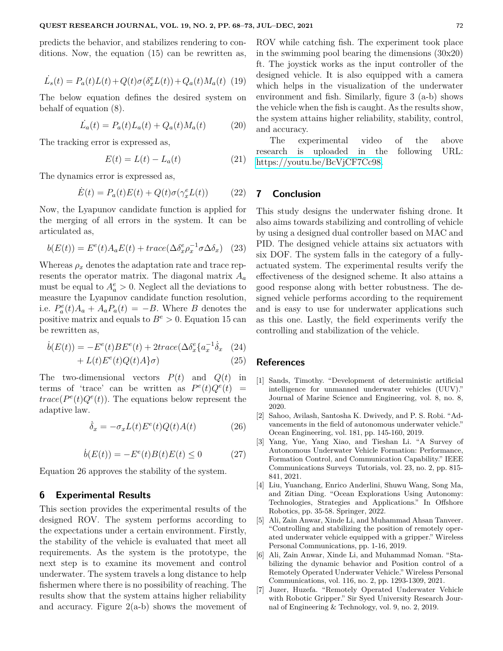predicts the behavior, and stabilizes rendering to conditions. Now, the equation (15) can be rewritten as,

$$
\dot{L}_s(t) = P_a(t)L(t) + Q(t)\sigma(\delta_x^e L(t)) + Q_a(t)M_a(t)
$$
 (19)

The below equation defines the desired system on behalf of equation (8).

$$
\dot{L}_a(t) = P_a(t)L_a(t) + Q_a(t)M_a(t) \tag{20}
$$

The tracking error is expressed as,

$$
E(t) = L(t) - L_a(t) \tag{21}
$$

The dynamics error is expressed as,

$$
\dot{E}(t) = P_a(t)E(t) + Q(t)\sigma(\gamma_x^e L(t))
$$
 (22)

Now, the Lyapunov candidate function is applied for the merging of all errors in the system. It can be articulated as,

$$
b(E(t)) = E^{e}(t)A_{a}E(t) + trace(\Delta \delta_{x}^{e} \rho_{x}^{-1} \sigma \Delta \delta_{x})
$$
 (23)

Whereas  $\rho_x$  denotes the adaptation rate and trace represents the operator matrix. The diagonal matrix *A<sup>a</sup>* must be equal to  $A_a^e > 0$ . Neglect all the deviations to measure the Lyapunov candidate function resolution, i.e.  $P_a^e(t)A_a + A_aP_a(t) = -B$ . Where *B* denotes the positive matrix and equals to  $B^e > 0$ . Equation 15 can be rewritten as,

$$
\dot{b}(E(t)) = -E^{e}(t)BE^{e}(t) + 2trace(\Delta \delta_{x}^{e}\{a_{x}^{-1}\dot{\delta}_{x} \quad (24)
$$

$$
+ L(t)E^{e}(t)Q(t)A\}\sigma)
$$
\n(25)

The two-dimensional vectors  $P(t)$  and  $Q(t)$  in terms of 'trace' can be written as  $P^e(t)Q^e(t)$  =  $trace(P^{e}(t)Q^{e}(t))$ . The equations below represent the adaptive law.

$$
\dot{\delta}_x = -\sigma_x L(t) E^e(t) Q(t) A(t) \tag{26}
$$

$$
\dot{b}(E(t)) = -E^e(t)B(t)E(t) \le 0 \qquad (27)
$$

Equation 26 approves the stability of the system.

#### **6 Experimental Results**

This section provides the experimental results of the designed ROV. The system performs according to the expectations under a certain environment. Firstly, the stability of the vehicle is evaluated that meet all requirements. As the system is the prototype, the next step is to examine its movement and control underwater. The system travels a long distance to help fishermen where there is no possibility of reaching. The results show that the system attains higher reliability and accuracy. Figure  $2(a-b)$  shows the movement of ROV while catching fish. The experiment took place in the swimming pool bearing the dimensions (30x20) ft. The joystick works as the input controller of the designed vehicle. It is also equipped with a camera which helps in the visualization of the underwater environment and fish. Similarly, figure 3 (a-b) shows the vehicle when the fish is caught. As the results show, the system attains higher reliability, stability, control, and accuracy.

The experimental video of the above research is uploaded in the following URL: [https://youtu.be/BcVjCF7Cc98.](https://youtu.be/BcVjCF7Cc98)

# **7 Conclusion**

This study designs the underwater fishing drone. It also aims towards stabilizing and controlling of vehicle by using a designed dual controller based on MAC and PID. The designed vehicle attains six actuators with six DOF. The system falls in the category of a fullyactuated system. The experimental results verify the effectiveness of the designed scheme. It also attains a good response along with better robustness. The designed vehicle performs according to the requirement and is easy to use for underwater applications such as this one. Lastly, the field experiments verify the controlling and stabilization of the vehicle.

#### **References**

- [1] Sands, Timothy. "Development of deterministic artificial intelligence for unmanned underwater vehicles (UUV)." Journal of Marine Science and Engineering, vol. 8, no. 8, 2020.
- [2] Sahoo, Avilash, Santosha K. Dwivedy, and P. S. Robi. "Advancements in the field of autonomous underwater vehicle." Ocean Engineering, vol. 181, pp. 145-160, 2019.
- [3] Yang, Yue, Yang Xiao, and Tieshan Li. "A Survey of Autonomous Underwater Vehicle Formation: Performance, Formation Control, and Communication Capability." IEEE Communications Surveys Tutorials, vol. 23, no. 2, pp. 815- 841, 2021.
- [4] Liu, Yuanchang, Enrico Anderlini, Shuwu Wang, Song Ma, and Zitian Ding. "Ocean Explorations Using Autonomy: Technologies, Strategies and Applications." In Offshore Robotics, pp. 35-58. Springer, 2022.
- [5] Ali, Zain Anwar, Xinde Li, and Muhammad Ahsan Tanveer. "Controlling and stabilizing the position of remotely operated underwater vehicle equipped with a gripper." Wireless Personal Communications, pp. 1-16, 2019.
- [6] Ali, Zain Anwar, Xinde Li, and Muhammad Noman. "Stabilizing the dynamic behavior and Position control of a Remotely Operated Underwater Vehicle." Wireless Personal Communications, vol. 116, no. 2, pp. 1293-1309, 2021.
- [7] Juzer, Huzefa. "Remotely Operated Underwater Vehicle with Robotic Gripper." Sir Syed University Research Journal of Engineering & Technology, vol. 9, no. 2, 2019.